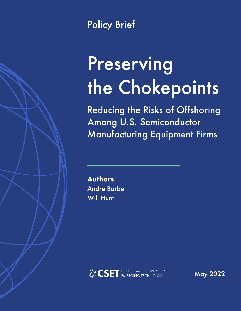

**Policy Brief** 

# Preserving the Chokepoints

**Reducing the Risks of Offshoring** Among U.S. Semiconductor **Manufacturing Equipment Firms** 

**Authors Andre Barbe Will Hunt** 



**May 2022**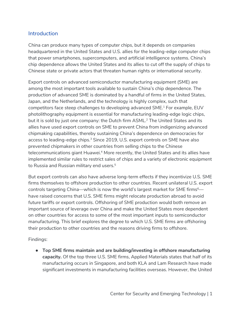#### **Introduction**

China can produce many types of computer chips, but it depends on companies headquartered in the United States and U.S. allies for the leading-edge computer chips that power smartphones, supercomputers, and artificial intelligence systems. China's chip dependence allows the United States and its allies to cut off the supply of chips to Chinese state or private actors that threaten human rights or international security.

Export controls on advanced semiconductor manufacturing equipment (SME) are among the most important tools available to sustain China's chip dependence. The production of advanced SME is dominated by a handful of firms in the United States, Japan, and the Netherlands, and the technology is highly complex, such that competitors face steep challenges to developing advanced SME.1 For example, EUV photolithography equipment is essential for manufacturing leading-edge logic chips, but it is sold by just one company: the Dutch firm ASML.<sup>2</sup> The United States and its allies have used export controls on SME to prevent China from indigenizing advanced chipmaking capabilities, thereby sustaining China's dependence on democracies for access to leading-edge chips.<sup>3</sup> Since 2019, U.S. export controls on SME have also prevented chipmakers in other countries from selling chips to the Chinese telecommunications giant Huawei.<sup>4</sup> More recently, the United States and its allies have implemented similar rules to restrict sales of chips and a variety of electronic equipment to Russia and Russian military end users.<sup>5</sup>

But export controls can also have adverse long-term effects if they incentivize U.S. SME firms *themselves* to offshore production to other countries. Recent unilateral U.S. export controls targeting China—which is now the world's largest market for SME firms<sup>6</sup> have raised concerns that U.S. SME firms might relocate production abroad to avoid future tariffs or export controls. Offshoring of SME production would both remove an important source of leverage over China and make the United States more dependent on other countries for access to some of the most important inputs to semiconductor manufacturing. This brief explores the degree to which U.S. SME firms are offshoring their production to other countries and the reasons driving firms to offshore.

Findings:

● **Top SME firms maintain and are building/investing in offshore manufacturing capacity.** Of the top three U.S. SME firms, Applied Materials states that half of its manufacturing occurs in Singapore, and both KLA and Lam Research have made significant investments in manufacturing facilities overseas. However, the United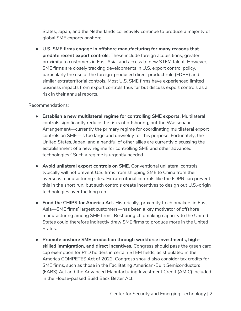States, Japan, and the Netherlands collectively continue to produce a majority of global SME exports onshore.

● **U.S. SME firms engage in offshore manufacturing for many reasons that predate recent export controls.** These include foreign acquisitions, greater proximity to customers in East Asia, and access to new STEM talent. However, SME firms are closely tracking developments in U.S. export control policy, particularly the use of the foreign-produced direct product rule (FDPR) and similar extraterritorial controls. Most U.S. SME firms have experienced limited business impacts from export controls thus far but discuss export controls as a risk in their annual reports.

#### Recommendations:

- **Establish a new multilateral regime for controlling SME exports.** Multilateral controls significantly reduce the risks of offshoring, but the Wassenaar Arrangement—currently the primary regime for coordinating multilateral export controls on SME—is too large and unwieldy for this purpose. Fortunately, the United States, Japan, and a handful of other allies are currently discussing the establishment of a new regime for controlling SME and other advanced technologies.<sup>7</sup> Such a regime is urgently needed.
- **Avoid unilateral export controls on SME.** Conventional unilateral controls typically will not prevent U.S. firms from shipping SME to China from their overseas manufacturing sites. Extraterritorial controls like the FDPR can prevent this in the short run, but such controls create incentives to design out U.S.-origin technologies over the long run.
- **Fund the CHIPS for America Act.** Historically, proximity to chipmakers in East Asia—SME firms' largest customers—has been a key motivator of offshore manufacturing among SME firms. Reshoring chipmaking capacity to the United States could therefore indirectly draw SME firms to produce more in the United States.
- **Promote onshore SME production through workforce investments, highskilled immigration, and direct incentives.** Congress should pass the green card cap exemption for PhD holders in certain STEM fields, as stipulated in the America COMPETES Act of 2022. Congress should also consider tax credits for SME firms, such as those in the Facilitating American-Built Semiconductors (FABS) Act and the Advanced Manufacturing Investment Credit (AMIC) included in the House-passed Build Back Better Act.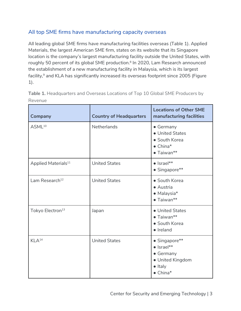# All top SME firms have manufacturing capacity overseas

All leading global SME firms have manufacturing facilities overseas (Table 1). Applied Materials, the largest American SME firm, states on its website that its Singapore location is the company's largest manufacturing facility outside the United States, with roughly 50 percent of its global SME production.<sup>8</sup> In 2020, Lam Research announced the establishment of a new manufacturing facility in Malaysia, which is its largest facility,<sup>9</sup> and KLA has significantly increased its overseas footprint since 2005 (Figure 1).

| <b>Company</b>                  | <b>Country of Headquarters</b> | <b>Locations of Other SME</b><br>manufacturing facilities                                                           |  |
|---------------------------------|--------------------------------|---------------------------------------------------------------------------------------------------------------------|--|
| ASML <sup>10</sup>              | <b>Netherlands</b>             | • Germany<br>• United States<br>• South Korea<br>$\bullet$ China*<br>$\bullet$ Taiwan**                             |  |
| Applied Materials <sup>11</sup> | <b>United States</b>           | $\bullet$  srael**<br>• Singapore**                                                                                 |  |
| Lam Research <sup>12</sup>      | <b>United States</b>           | • South Korea<br>• Austria<br>$\bullet$ Malaysia*<br>$\bullet$ Taiwan**                                             |  |
| Tokyo Electron <sup>13</sup>    | Japan                          | • United States<br>$\bullet$ Taiwan**<br>• South Korea<br>$\bullet$ Ireland                                         |  |
| $KLA^{14}$                      | <b>United States</b>           | • Singapore**<br>$\bullet$  srael**<br>$\bullet$ Germany<br>· United Kingdom<br>$\bullet$ Italy<br>$\bullet$ China* |  |

**Table 1.** Headquarters and Overseas Locations of Top 10 Global SME Producers by Revenue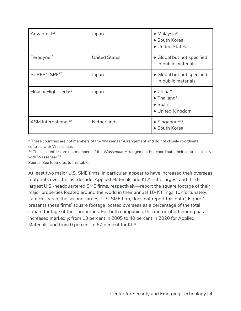| Advantest <sup>15</sup>         | Japan                | $\bullet$ Malaysia*<br>• South Korea<br>• United States                        |  |
|---------------------------------|----------------------|--------------------------------------------------------------------------------|--|
| Teradyne <sup>16</sup>          | <b>United States</b> | • Global but not specified<br>in public materials                              |  |
| SCREEN SPE17                    | Japan                | • Global but not specified<br>in public materials                              |  |
| Hitachi High-Tech <sup>18</sup> | Japan                | $\bullet$ China*<br>$\bullet$ Thailand*<br>$\bullet$ Spain<br>• United Kingdom |  |
| ASM International <sup>19</sup> | <b>Netherlands</b>   | $\bullet$ Singapore**<br>• South Korea                                         |  |

\* These countries are not members of the Wassenaar Arrangement and do not closely coordinate controls with Wassenaar.

\*\* These countries are not members of the Wassenaar Arrangement but coordinate their controls closely with Wassenaar.<sup>20</sup>

Source: See footnotes to this table.

At least two major U.S. SME firms, in particular, appear to have increased their overseas footprints over the last decade. Applied Materials and KLA—the largest and thirdlargest U.S.-headquartered SME firms, respectively—report the square footage of their major properties located around the world in their annual 10-K filings. (Unfortunately, Lam Research, the second-largest U.S. SME firm, does not report this data.) Figure 1 presents these firms' square footage located overseas as a percentage of the total square footage of their properties. For both companies, this metric of offshoring has increased markedly: from 13 percent in 2005 to 40 percent in 2020 for Applied Materials, and from 0 percent to 67 percent for KLA.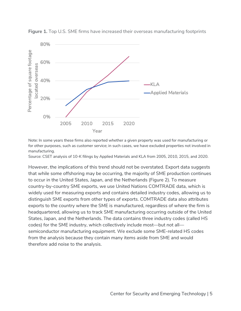

**Figure 1.** Top U.S. SME firms have increased their overseas manufacturing footprints

Note: In some years these firms also reported whether a given property was used for manufacturing or for other purposes, such as customer service; in such cases, we have excluded properties not involved in manufacturing.

Source: CSET analysis of 10-K filings by Applied Materials and KLA from 2005, 2010, 2015, and 2020.

However, the implications of this trend should not be overstated. Export data suggests that while some offshoring may be occurring, the majority of SME production continues to occur in the United States, Japan, and the Netherlands (Figure 2). To measure country-by-country SME exports, we use United Nations COMTRADE data, which is widely used for measuring exports and contains detailed industry codes, allowing us to distinguish SME exports from other types of exports. COMTRADE data also attributes exports to the country where the SME is manufactured, regardless of where the firm is headquartered, allowing us to track SME manufacturing occurring outside of the United States, Japan, and the Netherlands. The data contains three industry codes (called HS codes) for the SME industry, which collectively include most—but not all semiconductor manufacturing equipment. We exclude some SME-related HS codes from the analysis because they contain many items aside from SME and would therefore add noise to the analysis.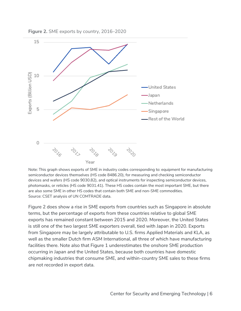

**Figure 2.** SME exports by country, 2016–2020

Note: This graph shows exports of SME in industry codes corresponding to: equipment for manufacturing semiconductor devices themselves (HS code 8486.20), for measuring and checking semiconductor devices and wafers (HS code 9030.82), and optical instruments for inspecting semiconductor devices, photomasks, or reticles (HS code 9031.41). These HS codes contain the most important SME, but there are also some SME in other HS codes that contain both SME and non-SME commodities. Source: CSET analysis of UN COMTRADE data.

Figure 2 does show a rise in SME exports from countries such as Singapore in absolute terms, but the percentage of exports from these countries relative to global SME exports has remained constant between 2015 and 2020. Moreover, the United States is still one of the two largest SME exporters overall, tied with Japan in 2020. Exports from Singapore may be largely attributable to U.S. firms Applied Materials and KLA, as well as the smaller Dutch firm ASM International, all three of which have manufacturing facilities there. Note also that Figure 1 underestimates the onshore SME production occurring in Japan and the United States, because both countries have domestic chipmaking industries that consume SME, and within-country SME sales to these firms are not recorded in export data.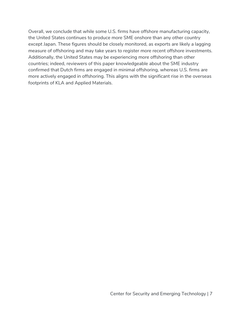Overall, we conclude that while some U.S. firms have offshore manufacturing capacity, the United States continues to produce more SME onshore than any other country except Japan. These figures should be closely monitored, as exports are likely a lagging measure of offshoring and may take years to register more recent offshore investments. Additionally, the United States may be experiencing more offshoring than other countries; indeed, reviewers of this paper knowledgeable about the SME industry confirmed that Dutch firms are engaged in minimal offshoring, whereas U.S. firms are more actively engaged in offshoring. This aligns with the significant rise in the overseas footprints of KLA and Applied Materials.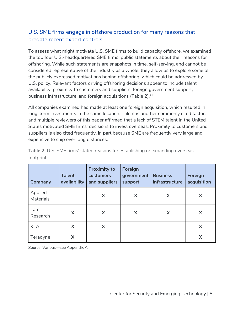## U.S. SME firms engage in offshore production for many reasons that predate recent export controls

To assess what might motivate U.S. SME firms to build capacity offshore, we examined the top four U.S.-headquartered SME firms' public statements about their reasons for offshoring. While such statements are snapshots in time, self-serving, and cannot be considered representative of the industry as a whole, they allow us to explore some of the publicly expressed motivations behind offshoring, which could be addressed by U.S. policy. Relevant factors driving offshoring decisions appear to include talent availability, proximity to customers and suppliers, foreign government support, business infrastructure, and foreign acquisitions (Table 2).<sup>21</sup>

All companies examined had made at least one foreign acquisition, which resulted in long-term investments in the same location. Talent is another commonly cited factor, and multiple reviewers of this paper affirmed that a lack of STEM talent in the United States motivated SME firms' decisions to invest overseas. Proximity to customers and suppliers is also cited frequently, in part because SME are frequently very large and expensive to ship over long distances.

| Company                     | <b>Talent</b><br>availability | <b>Proximity to</b><br>customers<br>and suppliers | Foreign<br>government<br>support | <b>Business</b><br>infrastructure | Foreign<br>acquisition |
|-----------------------------|-------------------------------|---------------------------------------------------|----------------------------------|-----------------------------------|------------------------|
| Applied<br><b>Materials</b> |                               | X                                                 | X                                | X                                 | X                      |
| Lam<br>Research             | X                             | X                                                 | X                                | X                                 | X                      |
| <b>KLA</b>                  | X                             | X                                                 |                                  |                                   | X                      |
| Teradyne                    | X                             |                                                   |                                  |                                   | X                      |

**Table 2.** U.S. SME firms' stated reasons for establishing or expanding overseas footprint

Source: Various—see Appendix A.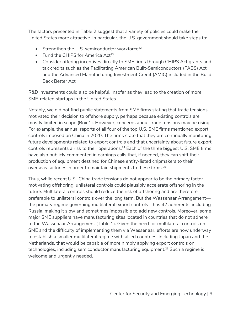The factors presented in Table 2 suggest that a variety of policies could make the United States more attractive. In particular, the U.S. government should take steps to:

- Strengthen the U.S. semiconductor workforce<sup>22</sup>
- Fund the CHIPS for America  $Act^{23}$
- Consider offering incentives directly to SME firms through CHIPS Act grants and tax credits such as the Facilitating American Built-Semiconductors (FABS) Act and the Advanced Manufacturing Investment Credit (AMIC) included in the Build Back Better Act

R&D investments could also be helpful, insofar as they lead to the creation of more SME-related startups in the United States.

Notably, we did not find public statements from SME firms stating that trade tensions motivated their decision to offshore supply, perhaps because existing controls are mostly limited in scope (Box 1). However, concerns about trade tensions may be rising. For example, the annual reports of all four of the top U.S. SME firms mentioned export controls imposed on China in 2020. The firms state that they are continually monitoring future developments related to export controls and that uncertainty about future export controls represents a risk to their operations.<sup>24</sup> Each of the three biggest U.S. SME firms have also publicly commented in earnings calls that, if needed, they can shift their production of equipment destined for Chinese entity-listed chipmakers to their overseas factories in order to maintain shipments to these firms.<sup>25</sup>

Thus, while recent U.S.-China trade tensions do not appear to be the primary factor motivating offshoring, unilateral controls could plausibly accelerate offshoring in the future. Multilateral controls should reduce the risk of offshoring and are therefore preferable to unilateral controls over the long term. But the Wassenaar Arrangement the primary regime governing multilateral export controls—has 42 adherents, including Russia, making it slow and sometimes impossible to add new controls. Moreover, some major SME suppliers have manufacturing sites located in countries that do not adhere to the Wassenaar Arrangement (Table 1). Given the need for multilateral controls on SME and the difficulty of implementing them via Wassenaar, efforts are now underway to establish a smaller multilateral regime with allied countries, including Japan and the Netherlands, that would be capable of more nimbly applying export controls on technologies, including semiconductor manufacturing equipment.<sup>26</sup> Such a regime is welcome and urgently needed.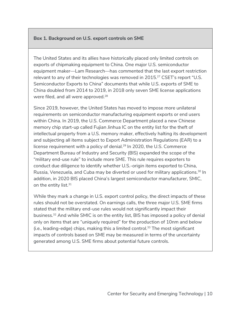#### **Box 1. Background on U.S. export controls on SME**

The United States and its allies have historically placed only limited controls on exports of chipmaking equipment to China. One major U.S. semiconductor equipment maker—Lam Research—has commented that the last export restriction relevant to any of their technologies was removed in 2015.<sup>27</sup> CSET's report "U.S. Semiconductor Exports to China" documents that while U.S. exports of SME to China doubled from 2014 to 2019, in 2018 only seven SME license applications were filed, and all were approved.<sup>28</sup>

Since 2019, however, the United States has moved to impose more unilateral requirements on semiconductor manufacturing equipment exports or end users within China. In 2019, the U.S. Commerce Department placed a new Chinese memory chip start-up called Fujian Jinhua IC on the entity list for the theft of intellectual property from a U.S. memory maker, effectively halting its development and subjecting all items subject to Export Administration Regulations (EAR) to a license requirement with a policy of denial.<sup>29</sup> In 2020, the U.S. Commerce Department Bureau of Industry and Security (BIS) expanded the scope of the "military end-use rule" to include more SME. This rule requires exporters to conduct due diligence to identify whether U.S.-origin items exported to China, Russia, Venezuela, and Cuba may be diverted or used for military applications.<sup>30</sup> In addition, in 2020 BIS placed China's largest semiconductor manufacturer, SMIC, on the entity list.<sup>31</sup>

While they mark a change in U.S. export control policy, the direct impacts of these rules should not be overstated. On earnings calls, the three major U.S. SME firms stated that the military end-use rules would not significantly impact their business.32 And while SMIC is on the entity list, BIS has imposed a policy of denial only on items that are "uniquely required" for the production of 10nm and below  $(i.e., leading-edge)$  chips, making this a limited control.<sup>33</sup> The most significant impacts of controls based on SME may be measured in terms of the uncertainty generated among U.S. SME firms about potential future controls.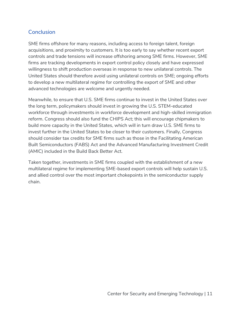## **Conclusion**

SME firms offshore for many reasons, including access to foreign talent, foreign acquisitions, and proximity to customers. It is too early to say whether recent export controls and trade tensions will increase offshoring among SME firms. However, SME firms are tracking developments in export control policy closely and have expressed willingness to shift production overseas in response to new unilateral controls. The United States should therefore avoid using unilateral controls on SME; ongoing efforts to develop a new multilateral regime for controlling the export of SME and other advanced technologies are welcome and urgently needed.

Meanwhile, to ensure that U.S. SME firms continue to invest in the United States over the long term, policymakers should invest in growing the U.S. STEM-educated workforce through investments in workforce development and high-skilled immigration reform. Congress should also fund the CHIPS Act; this will encourage chipmakers to build more capacity in the United States, which will in turn draw U.S. SME firms to invest further in the United States to be closer to their customers. Finally, Congress should consider tax credits for SME firms such as those in the Facilitating American Built Semiconductors (FABS) Act and the Advanced Manufacturing Investment Credit (AMIC) included in the Build Back Better Act.

Taken together, investments in SME firms coupled with the establishment of a new multilateral regime for implementing SME-based export controls will help sustain U.S. and allied control over the most important chokepoints in the semiconductor supply chain.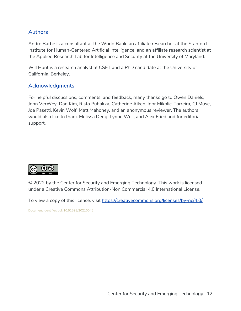#### Authors

Andre Barbe is a consultant at the World Bank, an affiliate researcher at the Stanford Institute for Human-Centered Artificial Intelligence, and an affiliate research scientist at the Applied Research Lab for Intelligence and Security at the University of Maryland.

Will Hunt is a research analyst at CSET and a PhD candidate at the University of California, Berkeley.

#### Acknowledgments

For helpful discussions, comments, and feedback, many thanks go to Owen Daniels, John VerWey, Dan Kim, Risto Puhakka, Catherine Aiken, Igor Mikolic-Torreira, CJ Muse, Joe Pasetti, Kevin Wolf, Matt Mahoney, and an anonymous reviewer. The authors would also like to thank Melissa Deng, Lynne Weil, and Alex Friedland for editorial support.



© 2022 by the Center for Security and Emerging Technology. This work is licensed under a Creative Commons Attribution-Non Commercial 4.0 International License.

To view a copy of this license, visit https://creativecommons.org/licenses/by-nc/4.0/.

Document Identifier: doi: 10.51593/20210045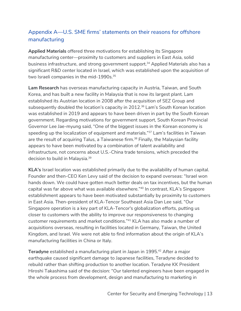# Appendix A—U.S. SME firms' statements on their reasons for offshore manufacturing

**Applied Materials** offered three motivations for establishing its Singapore manufacturing center—proximity to customers and suppliers in East Asia, solid business infrastructure, and strong government support.<sup>34</sup> Applied Materials also has a significant R&D center located in Israel, which was established upon the acquisition of two Israeli companies in the mid-1990s.<sup>35</sup>

**Lam Research** has overseas manufacturing capacity in Austria, Taiwan, and South Korea, and has built a new facility in Malaysia that is now its largest plant. Lam established its Austrian location in 2008 after the acquisition of SEZ Group and subsequently doubled the location's capacity in 2012.<sup>36</sup> Lam's South Korean location was established in 2019 and appears to have been driven in part by the South Korean government. Regarding motivations for government support, South Korean Provincial Governor Lee Jae-myung said, "One of the biggest issues in the Korean economy is speeding up the localization of equipment and materials."<sup>37</sup> Lam's facilities in Taiwan are the result of acquiring Talus, a Taiwanese firm.<sup>38</sup> Finally, the Malaysian facility appears to have been motivated by a combination of talent availability and infrastructure, not concerns about U.S.-China trade tensions, which preceded the decision to build in Malaysia.39

**KLA's** Israel location was established primarily due to the availability of human capital. Founder and then-CEO Ken Levy said of the decision to expand overseas: "Israel won hands down. We could have gotten much better deals on tax incentives, but the human capital was far above what was available elsewhere."40 In contrast, KLA's Singapore establishment appears to have been motivated substantially by proximity to customers in East Asia. Then-president of KLA-Tencor Southeast Asia Dan Lee said, "Our Singapore operation is a key part of KLA-Tencor's globalization efforts, putting us closer to customers with the ability to improve our responsiveness to changing customer requirements and market conditions."41 KLA has also made a number of acquisitions overseas, resulting in facilities located in Germany, Taiwan, the United Kingdom, and Israel. We were not able to find information about the origin of KLA's manufacturing facilities in China or Italy.

**Teradyne** established a manufacturing plant in Japan in 1995.<sup>42</sup> After a major earthquake caused significant damage to Japanese facilities, Teradyne decided to rebuild rather than shifting production to another location. Teradyne KK President Hiroshi Takashima said of the decision: "Our talented engineers have been engaged in the whole process from development, design and manufacturing to marketing in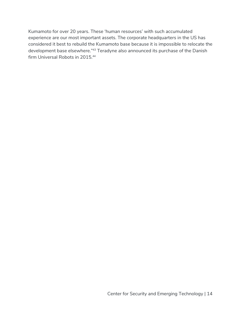Kumamoto for over 20 years. These 'human resources' with such accumulated experience are our most important assets. The corporate headquarters in the US has considered it best to rebuild the Kumamoto base because it is impossible to relocate the development base elsewhere."43 Teradyne also announced its purchase of the Danish firm Universal Robots in 2015.<sup>44</sup>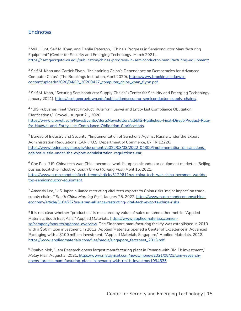## **Endnotes**

<sup>1</sup> Will Hunt, Saif M. Khan, and Dahlia Peterson, "China's Progress in Semiconductor Manufacturing Equipment" (Center for Security and Emerging Technology, March 2021), [https://cset.georgetown.edu/publication/chinas-progress-in-semiconductor-manufacturing-equipment/.](https://cset.georgetown.edu/publication/chinas-progress-in-semiconductor-manufacturing-equipment/)

<sup>2</sup> Saif M. Khan and Carrick Flynn, "Maintaining China's Dependence on Democracies for Advanced Computer Chips" (The Brookings Institution, April 2020), [https://www.brookings.edu/wp](https://www.brookings.edu/wp-content/uploads/2020/04/FP_20200427_computer_chips_khan_flynn.pdf)[content/uploads/2020/04/FP\\_20200427\\_computer\\_chips\\_khan\\_flynn.pdf.](https://www.brookings.edu/wp-content/uploads/2020/04/FP_20200427_computer_chips_khan_flynn.pdf) 

<sup>3</sup> Saif M. Khan, "Securing Semiconductor Supply Chains" (Center for Security and Emerging Technology, January 2021), [https://cset.georgetown.edu/publication/securing-semiconductor-supply-chains/.](https://cset.georgetown.edu/publication/securing-semiconductor-supply-chains/)

<sup>4</sup> "BIS Publishes Final 'Direct Product' Rule for Huawei and Entity List Compliance Obligation Clarifications," Crowell, August 21, 2020, [https://www.crowell.com/NewsEvents/AlertsNewsletters/all/BIS-Publishes-Final-Direct-Product-Rule](https://www.crowell.com/NewsEvents/AlertsNewsletters/all/BIS-Publishes-Final-Direct-Product-Rule-for-Huawei-and-Entity-List-Compliance-Obligation-Clarifications)[for-Huawei-and-Entity-List-Compliance-Obligation-Clarifications.](https://www.crowell.com/NewsEvents/AlertsNewsletters/all/BIS-Publishes-Final-Direct-Product-Rule-for-Huawei-and-Entity-List-Compliance-Obligation-Clarifications) 

<sup>5</sup> Bureau of Industry and Security, "Implementation of Sanctions Against Russia Under the Export Administration Regulations (EAR)͓ͳ U.S. Department of Commerce, 87 FR 12226, [https://www.federalregister.gov/documents/2022/03/03/2022-04300/implementation-of-sanctions](https://www.federalregister.gov/documents/2022/03/03/2022-04300/implementation-of-sanctions-against-russia-under-the-export-administration-regulations-ear)[against-russia-under-the-export-administration-regulations-ear.](https://www.federalregister.gov/documents/2022/03/03/2022-04300/implementation-of-sanctions-against-russia-under-the-export-administration-regulations-ear) 

 $6$  Che Pan, "US-China tech war: China becomes world's top semiconductor equipment market as Beijing pushes local chip industry," South China Morning Post, April 15, 2021, [https://www.scmp.com/tech/tech-trends/article/3129611/us-china-tech-war-china-becomes-worlds](https://www.scmp.com/tech/tech-trends/article/3129611/us-china-tech-war-china-becomes-worlds-top-semiconductor-equipment)[top-semiconductor-equipment.](https://www.scmp.com/tech/tech-trends/article/3129611/us-china-tech-war-china-becomes-worlds-top-semiconductor-equipment)

 $^7$  Amanda Lee, "US-Japan alliance restricting vital tech exports to China risks 'major impact' on trade, supply chains," South China Morning Post, January 25, 2022, [https://www.scmp.com/economy/china](https://www.scmp.com/economy/china-economy/article/3164537/us-japan-alliance-restricting-vital-tech-exports-china-risks)[economy/article/3164537/us-japan-alliance-restricting-vital-tech-exports-china-risks.](https://www.scmp.com/economy/china-economy/article/3164537/us-japan-alliance-restricting-vital-tech-exports-china-risks)

 $8$  It is not clear whether "production" is measured by value of sales or some other metric. "Applied Materials South East Asia," Applied Materials, [https://www.appliedmaterials.com/en](https://www.appliedmaterials.com/en-sg/company/about/singapore-overview)[sg/company/about/singapore-overview.](https://www.appliedmaterials.com/en-sg/company/about/singapore-overview) The Singapore manufacturing facility was established in 2010 with a \$60 million investment. In 2012, Applied Materials opened a Center of Excellence in Advanced Packaging with a \$100 million investment. "Applied Materials Singapore," Applied Materials, 2012, [https://www.appliedmaterials.com/files/media/singapore\\_factsheet\\_2013.pdf.](https://www.appliedmaterials.com/files/media/singapore_factsheet_2013.pdf) 

<sup>9</sup> Opalyn Mok, "Lam Research opens largest manufacturing plant in Penang with RM 1b investment," *Malay Mail*, August 3, 2021, [https://www.malaymail.com/news/money/2021/08/03/lam-research](https://www.malaymail.com/news/money/2021/08/03/lam-research-opens-largest-manufacturing-plant-in-penang-with-rm1b-investme/1994835)[opens-largest-manufacturing-plant-in-penang-with-rm1b-investme/1994835.](https://www.malaymail.com/news/money/2021/08/03/lam-research-opens-largest-manufacturing-plant-in-penang-with-rm1b-investme/1994835)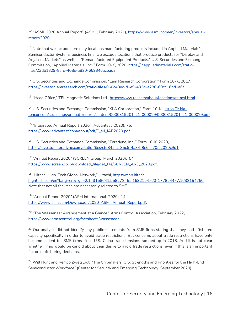<sup>10</sup> "ASML 2020 Annual Report" (ASML, February 2021), [https://www.asml.com/en/investors/annual](https://www.asml.com/en/investors/annual-report/2020)[report/2020](https://www.asml.com/en/investors/annual-report/2020)

 $11$  Note that we include here only locations manufacturing products included in Applied Materials' Semiconductor Systems business line; we exclude locations that produce products for "Display and Adjacent Marketsͳ as well as ͲRemanufactured Equipment Products.ͳ U.S. Securities and Exchange Commission, "Applied Materials, Inc.," Form 10-K, 2020, [https://ir.appliedmaterials.com/static](https://ir.appliedmaterials.com/static-files/23db1829-8afd-408e-a820-669346acbad3)[files/23db1829-8afd-408e-a820-669346acbad3.](https://ir.appliedmaterials.com/static-files/23db1829-8afd-408e-a820-669346acbad3)

 $12$  U.S. Securities and Exchange Commission, "Lam Research Corporation," Form 10-K, 2017, <https://investor.lamresearch.com/static-files/060c48ec-d0e9-433d-a280-69cc16bd0a6f>

13 "Head Office." TEL Magnetic Solutions Ltd., <https://www.tel.com/about/locations/telmsl.html>

<sup>14</sup> U.S. Securities and Exchange Commission, "KLA Corporation," Form 10-K, [https://ir.kla](https://ir.kla-tencor.com/sec-filings/annual-reports/content/0000319201-21-000029/0000319201-21-000029.pdf)[tencor.com/sec-filings/annual-reports/content/0000319201-21-000029/0000319201-21-000029.pdf](https://ir.kla-tencor.com/sec-filings/annual-reports/content/0000319201-21-000029/0000319201-21-000029.pdf)

<sup>15</sup> "Integrated Annual Report 2020" (Advantest, 2020), 76, [https://www.advantest.com/about/pdf/E\\_all\\_IAR2020.pdf.](https://www.advantest.com/about/pdf/E_all_IAR2020.pdf)

<sup>16</sup> U.S. Securities and Exchange Commission, "Teradyne, Inc.," Form 10-K, 2020, <https://investors.teradyne.com/static-files/cfd845ac-35c6-4a84-8e64-70fc2020c9d1>

<sup>17</sup> "Annual Report 2020" (SCREEN Group, March 2020), 54, [https://www.screen.co.jp/download\\_file/get\\_file/SCREEN\\_ARE\\_2020.pdf.](https://www.screen.co.jp/download_file/get_file/SCREEN_ARE_2020.pdf)

<sup>18</sup> "Hitachi High-Tech Global Network," Hitachi, [https://map.hitachi](https://map.hitachi-hightech.com/en?lang=en&_ga=2.143158641.558272455.1632154760-177854477.1632154760)[hightech.com/en?lang=en&\\_ga=2.143158641.558272455.1632154760-177854477.1632154760.](https://map.hitachi-hightech.com/en?lang=en&_ga=2.143158641.558272455.1632154760-177854477.1632154760) Note that not all facilities are necessarily related to SME.

<sup>19</sup> "Annual Report 2020" (ASM International, 2020), 14, [https://www.asm.com/Downloads/2020\\_ASMI\\_Annual\\_Report.pdf.](https://www.asm.com/Downloads/2020_ASMI_Annual_Report.pdf)

<sup>20</sup> "The Wassenaar Arrangement at a Glance," Arms Control Association, February 2022, <https://www.armscontrol.org/factsheets/wassenaar>

 $21$  Our analysis did not identify any public statements from SME firms stating that they had offshored capacity specifically in order to avoid trade restrictions. But concerns about trade restrictions have only become salient for SME firms since U.S.-China trade tensions ramped up in 2018. And it is not clear whether firms would be candid about their desire to avoid trade restrictions, even if this is an important factor in offshoring decisions.

<sup>22</sup> Will Hunt and Remco Zwetsloot, "The Chipmakers: U.S. Strengths and Priorities for the High-End Semiconductor Workforce" (Center for Security and Emerging Technology, September 2020),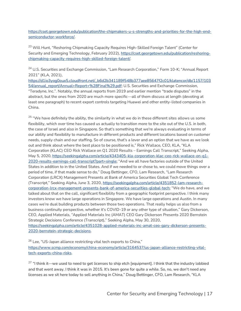[https://cset.georgetown.edu/publication/the-chipmakers-u-s-strengths-and-priorities-for-the-high-end](https://cset.georgetown.edu/publication/the-chipmakers-u-s-strengths-and-priorities-for-the-high-end-semiconductor-workforce/)[semiconductor-workforce/.](https://cset.georgetown.edu/publication/the-chipmakers-u-s-strengths-and-priorities-for-the-high-end-semiconductor-workforce/) 

<sup>23</sup> Will Hunt, "Reshoring Chipmaking Capacity Requires High-Skilled Foreign Talent" (Center for Security and Emerging Technology, February 2022), [https://cset.georgetown.edu/publication/reshoring](https://cset.georgetown.edu/publication/reshoring-chipmaking-capacity-requires-high-skilled-foreign-talent/)[chipmaking-capacity-requires-high-skilled-foreign-talent/.](https://cset.georgetown.edu/publication/reshoring-chipmaking-capacity-requires-high-skilled-foreign-talent/)

<sup>24</sup> U.S. Securities and Exchange Commission, "Lam Research Corporation," Form 10-K; "Annual Report 2021" (KLA, 2021),

[https://d1io3yog0oux5.cloudfront.net/\\_b6d2b341189f548b377aee85647f2c01/klatencor/db/1157/103](https://d1io3yog0oux5.cloudfront.net/_b6d2b341189f548b377aee85647f2c01/klatencor/db/1157/10354/annual_report/Annual+Report+%28Final%29.pdf) [54/annual\\_report/Annual+Report+%28Final%29.pdf;](https://d1io3yog0oux5.cloudfront.net/_b6d2b341189f548b377aee85647f2c01/klatencor/db/1157/10354/annual_report/Annual+Report+%28Final%29.pdf) U.S. Securities and Exchange Commission, "Teradyne, Inc.". Notably, the annual reports from 2019 and earlier mention "trade disputes" in the abstract, but the ones from 2020 are much more specific—all of them discuss at length (devoting at least one paragraph) to recent export controls targeting Huawei and other entity-listed companies in China.

<sup>25</sup> "We have definitely the ability, the similarity in what we do in these different sites allows us some flexibility, which over time has caused us actually to transition more to the site out of the U.S. in both, the case of Israel and also in Singapore. So that's something that we're always evaluating in terms of our ability and flexibility to manufacture in different products and different locations based on customer needs, supply chain and our staffing. So of course, that's a lever and an option that we have as we look out and think about where the best place to be positioned is," Rick Wallace, CEO, KLA, "KLA Corporation (KLAC) CEO Rick Wallace on Q1 2020 Results – Earnings Call Transcript," Seeking Alpha, May 5, 2020, [https://seekingalpha.com/article/4343405-kla-corporation-klac-ceo-rick-wallace-on-q1-](https://seekingalpha.com/article/4343405-kla-corporation-klac-ceo-rick-wallace-on-q1-2020-results-earnings-call-transcript?part=single) [2020-results-earnings-call-transcript?part=single;](https://seekingalpha.com/article/4343405-kla-corporation-klac-ceo-rick-wallace-on-q1-2020-results-earnings-call-transcript?part=single) "And we all have factories outside of the United States in addition to in the United States. And if we needed to or chose to, we could move things over a period of time, if that made sense to do," Doug Bettinger, CFO, Lam Research, "Lam Research Corporation (LRCX) Management Presents at Bank of America Securities Global Tech Conference (Transcript," Seeking Alpha, June 3, 2020, [https://seekingalpha.com/article/4351852-lam-research](https://seekingalpha.com/article/4351852-lam-research-corporation-lrcx-management-presents-bank-of-america-securities-global-tech)[corporation-lrcx-management-presents-bank-of-america-securities-global-tech;](https://seekingalpha.com/article/4351852-lam-research-corporation-lrcx-management-presents-bank-of-america-securities-global-tech) "We do have, and we talked about that on the call, significant flexibility from a geographic footprint perspective. I think many investors know we have large operations in Singapore. We have large operations and Austin. In many cases we're dual building products between those two operations. That really helps us also from a business continuity perspective, whether it's COVID-19 or any other type of situation," Gary Dickerson, CEO, Applied Materials, "Applied Materials Inc (AMAT) CEO Gary Dickerson Presents 2020 Bernstein Strategic Decisions Conference (Transcript)," Seeking Alpha, May 30, 2020, [https://seekingalpha.com/article/4351028-applied-materials-inc-amat-ceo-gary-dickerson-presents-](https://seekingalpha.com/article/4351028-applied-materials-inc-amat-ceo-gary-dickerson-presents-2020-bernstein-strategic-decisions)[2020-bernstein-strategic-decisions.](https://seekingalpha.com/article/4351028-applied-materials-inc-amat-ceo-gary-dickerson-presents-2020-bernstein-strategic-decisions)

<sup>26</sup> Lee, "US-Japan alliance restricting vital tech exports to China," [https://www.scmp.com/economy/china-economy/article/3164537/us-japan-alliance-restricting-vital](https://www.scmp.com/economy/china-economy/article/3164537/us-japan-alliance-restricting-vital-tech-exports-china-risks)[tech-exports-china-risks.](https://www.scmp.com/economy/china-economy/article/3164537/us-japan-alliance-restricting-vital-tech-exports-china-risks)

 $27$  "I think it—we used to need to get licenses to ship etch [equipment]. I think that the industry lobbied and that went away. I think it was in 2015. It's been gone for quite a while. So, no, we don't need any licenses as we sit here today to sell anything in China," Doug Bettinger, CFO, Lam Research, "KLA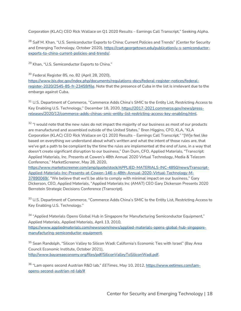Corporation (KLAC) CEO Rick Wallace on Q1 2020 Results – Earnings Call Transcript," Seeking Alpha.

<sup>28</sup> Saif M. Khan, "U.S. Semiconductor Exports to China: Current Policies and Trends" (Center for Security and Emerging Technology, October 2020), [https://cset.georgetown.edu/publication/u-s-semiconductor](https://cset.georgetown.edu/publication/u-s-semiconductor-exports-to-china-current-policies-and-trends/)[exports-to-china-current-policies-and-trends/.](https://cset.georgetown.edu/publication/u-s-semiconductor-exports-to-china-current-policies-and-trends/)

<sup>29</sup> Khan, "U.S. Semiconductor Exports to China."

<sup>30</sup> Federal Register 85, no. 82 (April 28, 2020),

[https://www.bis.doc.gov/index.php/documents/regulations-docs/federal-register-notices/federal](https://www.bis.doc.gov/index.php/documents/regulations-docs/federal-register-notices/federal-register-2020/2545-85-fr-23459/file)[register-2020/2545-85-fr-23459/file.](https://www.bis.doc.gov/index.php/documents/regulations-docs/federal-register-notices/federal-register-2020/2545-85-fr-23459/file) Note that the presence of Cuba in the list is irrelevant due to the embargo against Cuba.

<sup>31</sup> U.S. Department of Commerce, "Commerce Adds China's SMIC to the Entity List, Restricting Access to Key Enabling U.S. Technology," December 18, 2020, [https://2017-2021.commerce.gov/news/press](https://2017-2021.commerce.gov/news/press-releases/2020/12/commerce-adds-chinas-smic-entity-list-restricting-access-key-enabling.html)[releases/2020/12/commerce-adds-chinas-smic-entity-list-restricting-access-key-enabling.html.](https://2017-2021.commerce.gov/news/press-releases/2020/12/commerce-adds-chinas-smic-entity-list-restricting-access-key-enabling.html) 

32 "I would note that the new rules do not impact the majority of our business as most of our products are manufactured and assembled outside of the United States," Bren Higgins, CFO, KLA, "KLA Corporation (KLAC) CEO Rick Wallace on Q1 2020 Results – Earnings Call Transcript." "[W]e feel like based on everything we understand about what's written and what the intent of those rules are, that we've got a path to be compliant by the time the rules are implemented at the end of June, in a way that doesn't create significant disruption to our business," Dan Durn, CFO, Applied Materials, "Transcript: Applied Materials, Inc. Presents at Cowen's 48th Annual 2020 Virtual Technology, Media & Telecom Conference," MarketScreener, May 28, 2020,

[https://www.marketscreener.com/amp/quote/stock/APPLIED-MATERIALS-INC-4850/news/Transcript-](https://www.marketscreener.com/amp/quote/stock/APPLIED-MATERIALS-INC-4850/news/Transcript-Applied-Materials-Inc-Presents-at-Cowen-146-s-48th-Annual-2020-Virtual-Technology-M-37890069/)[Applied-Materials-Inc-Presents-at-Cowen-146-s-48th-Annual-2020-Virtual-Technology-M-](https://www.marketscreener.com/amp/quote/stock/APPLIED-MATERIALS-INC-4850/news/Transcript-Applied-Materials-Inc-Presents-at-Cowen-146-s-48th-Annual-2020-Virtual-Technology-M-37890069/)[37890069/.](https://www.marketscreener.com/amp/quote/stock/APPLIED-MATERIALS-INC-4850/news/Transcript-Applied-Materials-Inc-Presents-at-Cowen-146-s-48th-Annual-2020-Virtual-Technology-M-37890069/) "We believe that we'll be able to comply with minimal impact on our business," Gary Dickerson, CEO, Applied Materials, "Applied Materials Inc (AMAT) CEO Gary Dickerson Presents 2020 Bernstein Strategic Decisions Conference (Transcript).

33 U.S. Department of Commerce, "Commerce Adds China's SMIC to the Entity List, Restricting Access to Key Enabling U.S. Technology."

34 "Applied Materials Opens Global Hub in Singapore for Manufacturing Semiconductor Equipment," Applied Materials, Applied Materials, April 13, 2010, [https://www.appliedmaterials.com/newsroom/news/applied-materials-opens-global-hub-singapore](https://www.appliedmaterials.com/newsroom/news/applied-materials-opens-global-hub-singapore-manufacturing-semiconductor-equipment)[manufacturing-semiconductor-equipment.](https://www.appliedmaterials.com/newsroom/news/applied-materials-opens-global-hub-singapore-manufacturing-semiconductor-equipment)

<sup>35</sup> Sean Randolph, "Silicon Valley to Silicon Wadi: California's Economic Ties with Israel" (Bay Area Council Economic Institute, October 2021), [http://www.bayareaeconomy.org/files/pdf/SiliconValleyToSiliconWadi.pdf.](http://www.bayareaeconomy.org/files/pdf/SiliconValleyToSiliconWadi.pdf)

36 "Lam opens second Austrian R&D lab," EETimes, May 10, 2012, [https://www.eetimes.com/lam](https://www.eetimes.com/lam-opens-second-austrian-rd-lab/)[opens-second-austrian-rd-lab/#](https://www.eetimes.com/lam-opens-second-austrian-rd-lab/)